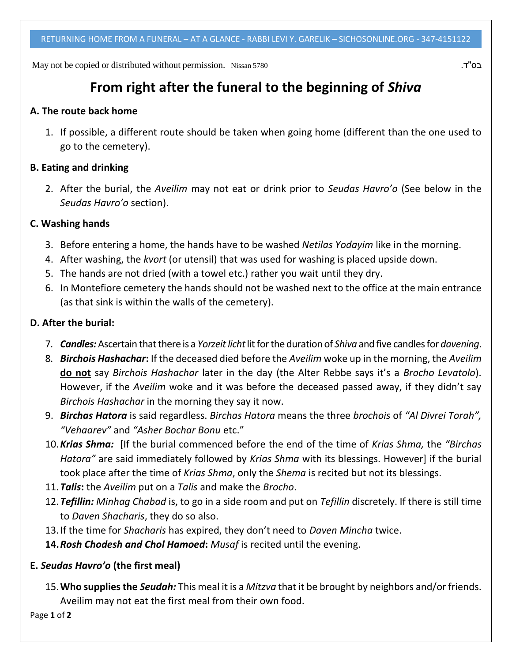May not be copied or distributed without permission. Nissan 5780 .ד"בס

# **From right after the funeral to the beginning of** *Shiva*

#### **A. The route back home**

1. If possible, a different route should be taken when going home (different than the one used to go to the cemetery).

## **B. Eating and drinking**

2. After the burial, the *Aveilim* may not eat or drink prior to *Seudas Havro'o* (See below in the *Seudas Havro'o* section).

# **C. Washing hands**

- 3. Before entering a home, the hands have to be washed *Netilas Yodayim* like in the morning.
- 4. After washing, the *kvort* (or utensil) that was used for washing is placed upside down.
- 5. The hands are not dried (with a towel etc.) rather you wait until they dry.
- 6. In Montefiore cemetery the hands should not be washed next to the office at the main entrance (as that sink is within the walls of the cemetery).

## **D. After the burial:**

- 7. *Candles:* Ascertain that there is a *Yorzeit licht* lit for the duration of *Shiva* and five candles for *davening*.
- 8. *Birchois Hashachar***:** If the deceased died before the *Aveilim* woke up in the morning, the *Aveilim* **do not** say *Birchois Hashachar* later in the day (the Alter Rebbe says it's a *Brocho Levatolo*). However, if the *Aveilim* woke and it was before the deceased passed away, if they didn't say *Birchois Hashachar* in the morning they say it now.
- 9. *Birchas Hatora* is said regardless. *Birchas Hatora* means the three *brochois* of *"Al Divrei Torah", "Vehaarev"* and *"Asher Bochar Bonu* etc."
- 10.*Krias Shma:* [If the burial commenced before the end of the time of *Krias Shma,* the *"Birchas Hatora"* are said immediately followed by *Krias Shma* with its blessings. However] if the burial took place after the time of *Krias Shma*, only the *Shema* is recited but not its blessings.
- 11.*Talis***:** the *Aveilim* put on a *Talis* and make the *Brocho*.
- 12.*Tefillin: Minhag Chabad* is, to go in a side room and put on *Tefillin* discretely. If there is still time to *Daven Shacharis*, they do so also.
- 13.If the time for *Shacharis* has expired, they don't need to *Daven Mincha* twice.
- **14.***Rosh Chodesh and Chol Hamoed***:** *Musaf* is recited until the evening.

# **E.** *Seudas Havro'o* **(the first meal)**

15.**Who supplies the** *Seudah:* This meal it is a *Mitzva* that it be brought by neighbors and/or friends. Aveilim may not eat the first meal from their own food.

Page **1** of **2**